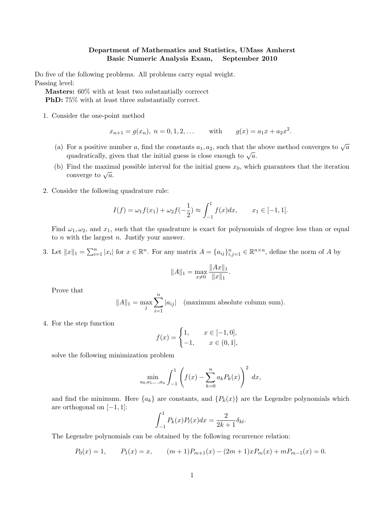## Department of Mathematics and Statistics, UMass Amherst Basic Numeric Analysis Exam, September 2010

Do five of the following problems. All problems carry equal weight. Passing level:

Masters: 60% with at least two substantially correcct PhD: 75% with at least three substantially correct.

1. Consider the one-point method

$$
x_{n+1} = g(x_n), n = 0, 1, 2, ...
$$
 with  $g(x) = a_1x + a_2x^2$ .

- (a) For a positive number a, find the constants  $a_1, a_2$ , such that the above method converges to  $\sqrt{a}$ For a positive number a, find the constants  $a_1, a_2$ , such that the quadratically, given that the initial guess is close enough to  $\sqrt{a}$ .
- (b) Find the maximal possible interval for the initial guess  $x_0$ , which guarantees that the iteration r mu the maxim<br>converge to  $\sqrt{a}$ .
- 2. Consider the following quadrature rule:

$$
I(f) = \omega_1 f(x_1) + \omega_2 f(-\frac{1}{2}) \approx \int_{-1}^{1} f(x) dx, \qquad x_1 \in [-1, 1].
$$

Find  $\omega_1, \omega_2$ , and  $x_1$ , such that the quadrature is exact for polynomials of degree less than or equal to  $n$  with the largest  $n$ . Justify your answer.

3. Let  $||x||_1 = \sum_{i=1}^n |x_i|$  for  $x \in \mathbb{R}^n$ . For any matrix  $A = \{a_{ij}\}_{i,j=1}^n \in \mathbb{R}^{n \times n}$ , define the norm of A by

$$
||A||_1 = \max_{x \neq 0} \frac{||Ax||_1}{||x||_1}
$$

.

Prove that

$$
||A||_1 = \max_j \sum_{i=1}^n |a_{ij}| \quad \text{(maximum absolute column sum)}.
$$

4. For the step function

$$
f(x) = \begin{cases} 1, & x \in [-1, 0], \\ -1, & x \in (0, 1], \end{cases}
$$

solve the following minimization problem

$$
\min_{a_0, a_1, \dots, a_n} \int_{-1}^1 \left( f(x) - \sum_{k=0}^n a_k P_k(x) \right)^2 dx,
$$

and find the minimum. Here  ${a_k}$  are constants, and  ${P_k(x)}$  are the Legendre polynomials which are orthogonal on  $[-1, 1]$ :

$$
\int_{-1}^{1} P_k(x) P_l(x) dx = \frac{2}{2k+1} \delta_{kl}.
$$

The Legendre polynomials can be obtained by the following recurrence relation:

$$
P_0(x) = 1,
$$
  $P_1(x) = x,$   $(m+1)P_{m+1}(x) - (2m+1)xP_m(x) + mP_{m-1}(x) = 0.$